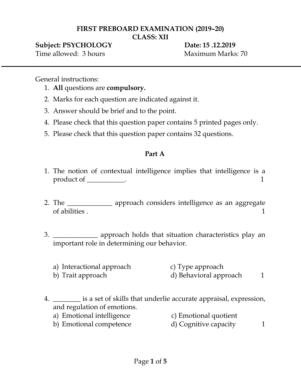## **FIRST PREBOARD EXAMINATION (2019–20)**

**CLASS: XII**

### **Subject: PSYCHOLOGY Date: 15 .12.2019**

Time allowed: 3 hours Maximum Marks: 70

General instructions:

- 1. **All** questions are **compulsory.**
- 2. Marks for each question are indicated against it.
- 3. Answer should be brief and to the point.
- 4. Please check that this question paper contains 5 printed pages only.
- 5. Please check that this question paper contains 32 questions.

# **Part A**

- 1. The notion of contextual intelligence implies that intelligence is a product of \_\_\_\_\_\_\_\_\_\_.
- 2. The \_\_\_\_\_\_\_\_\_\_\_\_\_\_ approach considers intelligence as an aggregate of abilities . 1
- 3. \_\_\_\_\_\_\_\_\_\_\_\_\_ approach holds that situation characteristics play an important role in determining our behavior.
	- a) Interactional approach c) Type approach b) Trait approach d) Behavioral approach 1
- 4. \_\_\_\_\_\_\_\_ is a set of skills that underlie accurate appraisal, expression, and regulation of emotions.
	- a) Emotional intelligence c) Emotional quotient
	- b) Emotional competence d) Cognitive capacity 1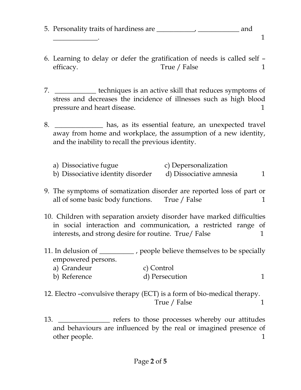- 5. Personality traits of hardiness are \_\_\_\_\_\_\_\_\_\_\_, \_\_\_\_\_\_\_\_\_\_\_\_ and  $\overline{\phantom{a}1}$ 
	-
- 6. Learning to delay or defer the gratification of needs is called self efficacy. True / False 1
- 7. \_\_\_\_\_\_\_\_\_\_\_\_ techniques is an active skill that reduces symptoms of stress and decreases the incidence of illnesses such as high blood pressure and heart disease. 1
- 8. \_\_\_\_\_\_\_\_\_\_\_\_\_\_ has, as its essential feature, an unexpected travel away from home and workplace, the assumption of a new identity, and the inability to recall the previous identity.
	- a) Dissociative fugue c) Depersonalization b) Dissociative identity disorder d) Dissociative amnesia 1
- 9. The symptoms of somatization disorder are reported loss of part or all of some basic body functions. True / False 1
- 10. Children with separation anxiety disorder have marked difficulties in social interaction and communication, a restricted range of interests, and strong desire for routine. True/ False 1
- 11. In delusion of \_\_\_\_\_\_\_\_\_\_\_\_, people believe themselves to be specially empowered persons.

| a) Grandeur  | c) Control     |  |
|--------------|----------------|--|
| b) Reference | d) Persecution |  |

- 12. Electro –convulsive therapy (ECT) is a form of bio-medical therapy. True / False 1
- 13. \_\_\_\_\_\_\_\_\_\_\_\_\_\_\_\_\_ refers to those processes whereby our attitudes and behaviours are influenced by the real or imagined presence of other people. 1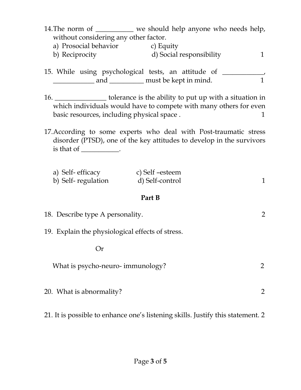14. The norm of \_\_\_\_\_\_\_\_\_\_\_ we should help anyone who needs help, without considering any other factor.

- a) Prosocial behavior c) Equity b) Reciprocity 1 d) Social responsibility 1
- 15. While using psychological tests, an attitude of \_\_\_\_\_\_\_\_\_\_\_\_, \_\_\_\_\_\_\_\_\_\_\_\_\_\_\_\_\_ and \_\_\_\_\_\_\_\_\_\_\_\_\_ must be kept in mind. 1
- 16. \_\_\_\_\_\_\_\_\_\_\_\_\_\_\_ tolerance is the ability to put up with a situation in which individuals would have to compete with many others for even basic resources, including physical space . 1
- 17.According to some experts who deal with Post-traumatic stress disorder (PTSD), one of the key attitudes to develop in the survivors is that of \_\_\_\_\_\_\_\_\_\_.

| a) Self-efficacy   | c) Self -esteem |  |
|--------------------|-----------------|--|
| b) Self-regulation | d) Self-control |  |

### **Part B**

| 18. Describe type A personality.                 |  |
|--------------------------------------------------|--|
| 19. Explain the physiological effects of stress. |  |
| Or                                               |  |
| What is psycho-neuro-immunology?                 |  |
| 20. What is abnormality?                         |  |

# 21. It is possible to enhance one's listening skills. Justify this statement. 2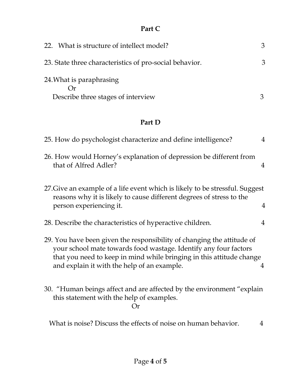# **Part C**

| 22. What is structure of intellect model?                      | З |
|----------------------------------------------------------------|---|
| 23. State three characteristics of pro-social behavior.        | 3 |
| 24. What is paraphrasing<br>Describe three stages of interview |   |

# **Part D**

| 25. How do psychologist characterize and define intelligence?                                                                                                                                                                                                     | $\overline{4}$ |
|-------------------------------------------------------------------------------------------------------------------------------------------------------------------------------------------------------------------------------------------------------------------|----------------|
| 26. How would Horney's explanation of depression be different from<br>that of Alfred Adler?                                                                                                                                                                       | $\overline{4}$ |
| 27. Give an example of a life event which is likely to be stressful. Suggest<br>reasons why it is likely to cause different degrees of stress to the<br>person experiencing it.                                                                                   | 4              |
| 28. Describe the characteristics of hyperactive children.                                                                                                                                                                                                         | 4              |
| 29. You have been given the responsibility of changing the attitude of<br>your school mate towards food wastage. Identify any four factors<br>that you need to keep in mind while bringing in this attitude change<br>and explain it with the help of an example. | 4              |
| 30. "Human beings affect and are affected by the environment "explain"<br>this statement with the help of examples.<br>$\Omega$ r                                                                                                                                 |                |
| What is noise? Discuss the effects of noise on human behavior.                                                                                                                                                                                                    | 4              |